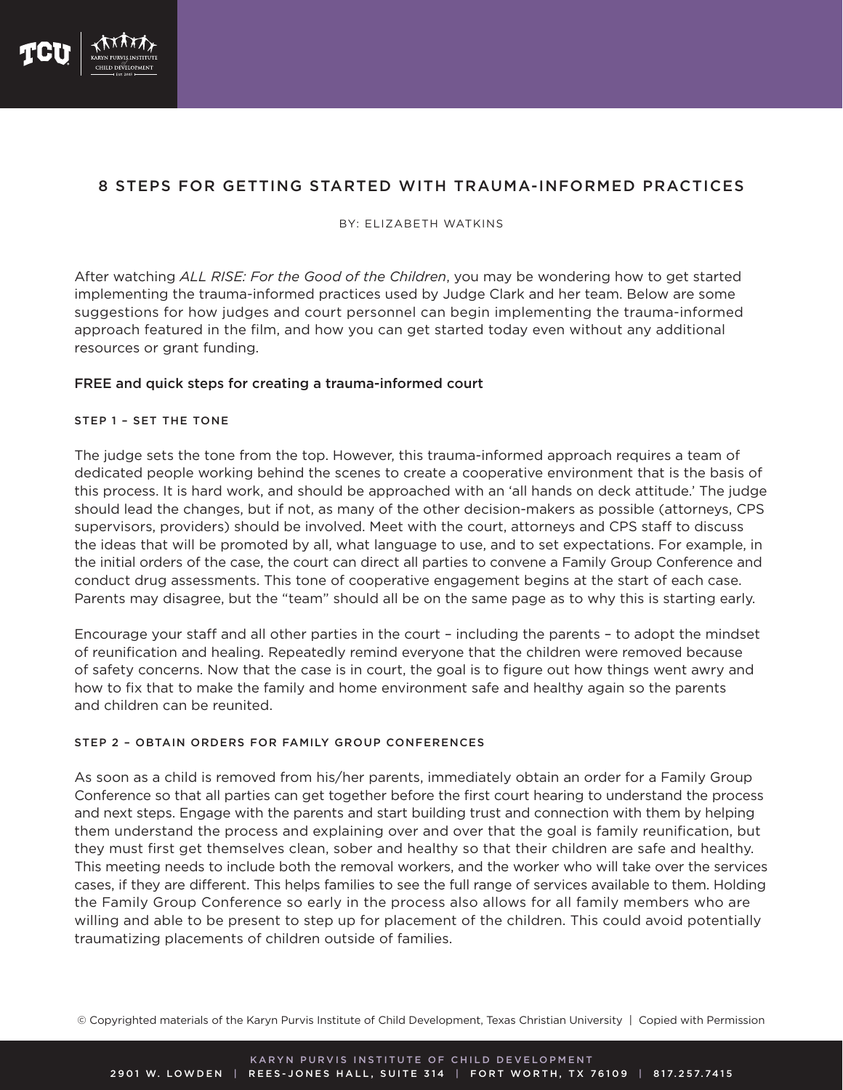

# 8 STEPS FOR GETTING STARTED WITH TRAUMA-INFORMED PRACTICES

### BY: ELIZABETH WATKINS

After watching *ALL RISE: For the Good of the Children*, you may be wondering how to get started implementing the trauma-informed practices used by Judge Clark and her team. Below are some suggestions for how judges and court personnel can begin implementing the trauma-informed approach featured in the film, and how you can get started today even without any additional resources or grant funding.

# FREE and quick steps for creating a trauma-informed court

## STEP 1 – SET THE TONE

The judge sets the tone from the top. However, this trauma-informed approach requires a team of dedicated people working behind the scenes to create a cooperative environment that is the basis of this process. It is hard work, and should be approached with an 'all hands on deck attitude.' The judge should lead the changes, but if not, as many of the other decision-makers as possible (attorneys, CPS supervisors, providers) should be involved. Meet with the court, attorneys and CPS staff to discuss the ideas that will be promoted by all, what language to use, and to set expectations. For example, in the initial orders of the case, the court can direct all parties to convene a Family Group Conference and conduct drug assessments. This tone of cooperative engagement begins at the start of each case. Parents may disagree, but the "team" should all be on the same page as to why this is starting early.

Encourage your staff and all other parties in the court – including the parents – to adopt the mindset of reunification and healing. Repeatedly remind everyone that the children were removed because of safety concerns. Now that the case is in court, the goal is to figure out how things went awry and how to fix that to make the family and home environment safe and healthy again so the parents and children can be reunited.

# STEP 2 – OBTAIN ORDERS FOR FAMILY GROUP CONFERENCES

As soon as a child is removed from his/her parents, immediately obtain an order for a Family Group Conference so that all parties can get together before the first court hearing to understand the process and next steps. Engage with the parents and start building trust and connection with them by helping them understand the process and explaining over and over that the goal is family reunification, but they must first get themselves clean, sober and healthy so that their children are safe and healthy. This meeting needs to include both the removal workers, and the worker who will take over the services cases, if they are different. This helps families to see the full range of services available to them. Holding the Family Group Conference so early in the process also allows for all family members who are willing and able to be present to step up for placement of the children. This could avoid potentially traumatizing placements of children outside of families.

© Copyrighted materials of the Karyn Purvis Institute of Child Development, Texas Christian University | Copied with Permission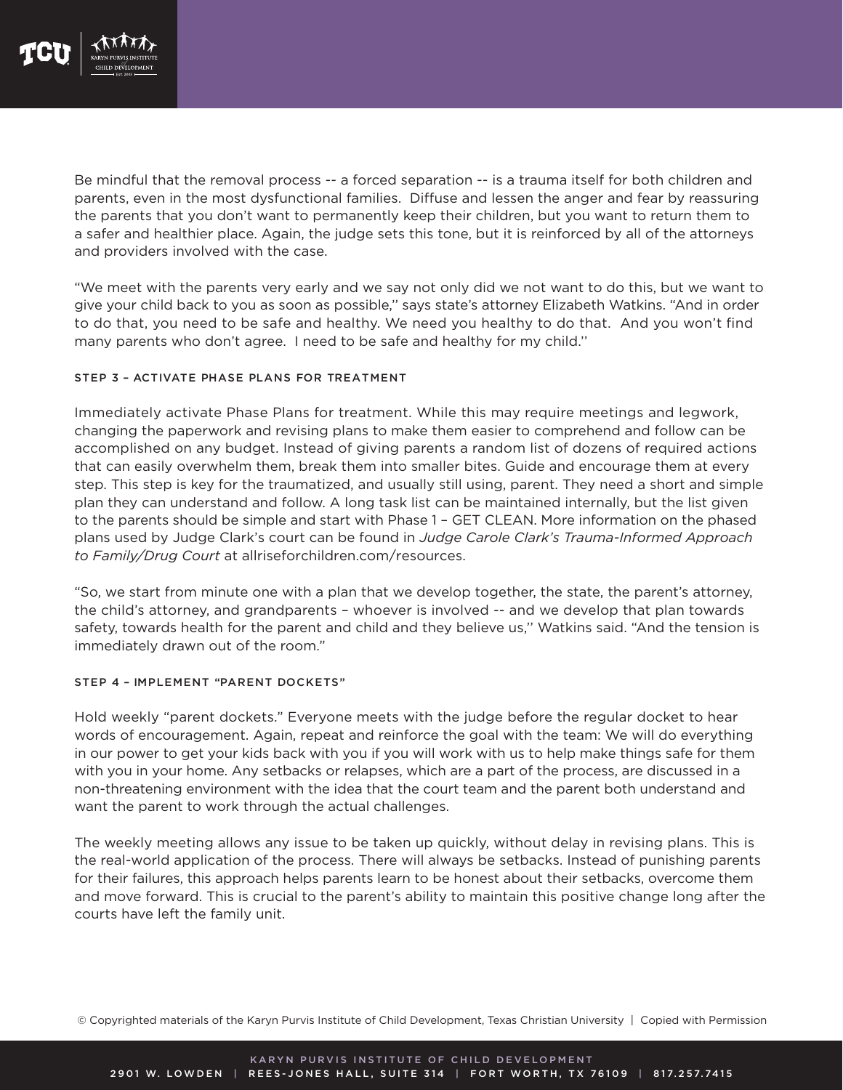

Be mindful that the removal process -- a forced separation -- is a trauma itself for both children and parents, even in the most dysfunctional families. Diffuse and lessen the anger and fear by reassuring the parents that you don't want to permanently keep their children, but you want to return them to a safer and healthier place. Again, the judge sets this tone, but it is reinforced by all of the attorneys and providers involved with the case.

"We meet with the parents very early and we say not only did we not want to do this, but we want to give your child back to you as soon as possible," says state's attorney Elizabeth Watkins. "And in order to do that, you need to be safe and healthy. We need you healthy to do that. And you won't find many parents who don't agree. I need to be safe and healthy for my child."

## STEP 3 – ACTIVATE PHASE PLANS FOR TREATMENT

Immediately activate Phase Plans for treatment. While this may require meetings and legwork, changing the paperwork and revising plans to make them easier to comprehend and follow can be accomplished on any budget. Instead of giving parents a random list of dozens of required actions that can easily overwhelm them, break them into smaller bites. Guide and encourage them at every step. This step is key for the traumatized, and usually still using, parent. They need a short and simple plan they can understand and follow. A long task list can be maintained internally, but the list given to the parents should be simple and start with Phase 1 - GET CLEAN. More information on the phased plans used by Judge Clark's court can be found in *Judge Carole Clark's Trauma-Informed Approach to Family/Drug Court* at allriseforchildren.com/resources.

"So, we start from minute one with a plan that we develop together, the state, the parent's attorney, the child's attorney, and grandparents - whoever is involved -- and we develop that plan towards safety, towards health for the parent and child and they believe us," Watkins said. "And the tension is immediately drawn out of the room."

# STEP 4 – IMPLEMENT "PARENT DOCKETS"

Hold weekly "parent dockets." Everyone meets with the judge before the regular docket to hear words of encouragement. Again, repeat and reinforce the goal with the team: We will do everything in our power to get your kids back with you if you will work with us to help make things safe for them with you in your home. Any setbacks or relapses, which are a part of the process, are discussed in a non-threatening environment with the idea that the court team and the parent both understand and want the parent to work through the actual challenges.

The weekly meeting allows any issue to be taken up quickly, without delay in revising plans. This is the real-world application of the process. There will always be setbacks. Instead of punishing parents for their failures, this approach helps parents learn to be honest about their setbacks, overcome them and move forward. This is crucial to the parent's ability to maintain this positive change long after the courts have left the family unit.

© Copyrighted materials of the Karyn Purvis Institute of Child Development, Texas Christian University | Copied with Permission